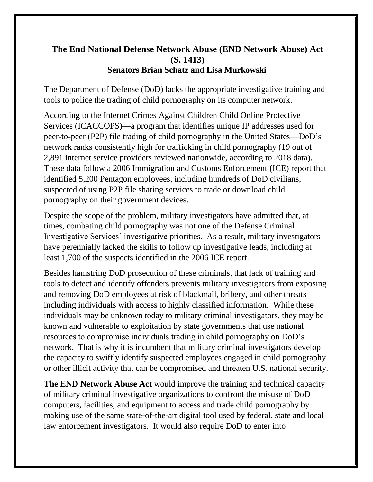## **The End National Defense Network Abuse (END Network Abuse) Act (S. 1413) Senators Brian Schatz and Lisa Murkowski**

The Department of Defense (DoD) lacks the appropriate investigative training and tools to police the trading of child pornography on its computer network.

According to the Internet Crimes Against Children Child Online Protective Services (ICACCOPS)—a program that identifies unique IP addresses used for peer-to-peer (P2P) file trading of child pornography in the United States—DoD's network ranks consistently high for trafficking in child pornography (19 out of 2,891 internet service providers reviewed nationwide, according to 2018 data). These data follow a 2006 Immigration and Customs Enforcement (ICE) report that identified 5,200 Pentagon employees, including hundreds of DoD civilians, suspected of using P2P file sharing services to trade or download child pornography on their government devices.

Despite the scope of the problem, military investigators have admitted that, at times, combating child pornography was not one of the Defense Criminal Investigative Services' investigative priorities. As a result, military investigators have perennially lacked the skills to follow up investigative leads, including at least 1,700 of the suspects identified in the 2006 ICE report.

Besides hamstring DoD prosecution of these criminals, that lack of training and tools to detect and identify offenders prevents military investigators from exposing and removing DoD employees at risk of blackmail, bribery, and other threats including individuals with access to highly classified information. While these individuals may be unknown today to military criminal investigators, they may be known and vulnerable to exploitation by state governments that use national resources to compromise individuals trading in child pornography on DoD's network. That is why it is incumbent that military criminal investigators develop the capacity to swiftly identify suspected employees engaged in child pornography or other illicit activity that can be compromised and threaten U.S. national security.

**The END Network Abuse Act** would improve the training and technical capacity of military criminal investigative organizations to confront the misuse of DoD computers, facilities, and equipment to access and trade child pornography by making use of the same state-of-the-art digital tool used by federal, state and local law enforcement investigators. It would also require DoD to enter into